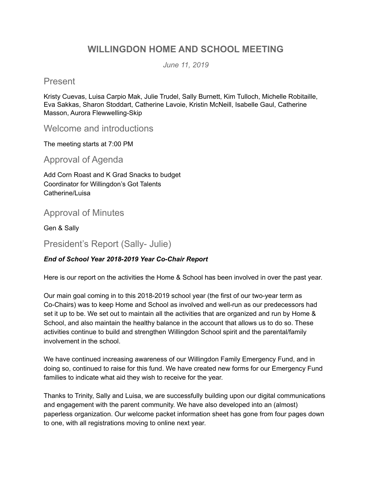# **WILLINGDON HOME AND SCHOOL MEETING**

*June 11, 2019*

## Present

Kristy Cuevas, Luisa Carpio Mak, Julie Trudel, Sally Burnett, Kim Tulloch, Michelle Robitaille, Eva Sakkas, Sharon Stoddart, Catherine Lavoie, Kristin McNeill, Isabelle Gaul, Catherine Masson, Aurora Flewwelling-Skip

Welcome and introductions

The meeting starts at 7:00 PM

Approval of Agenda

Add Corn Roast and K Grad Snacks to budget Coordinator for Willingdon's Got Talents Catherine/Luisa

# Approval of Minutes

Gen & Sally

President's Report (Sally- Julie)

### *End of School Year 2018-2019 Year Co-Chair Report*

Here is our report on the activities the Home & School has been involved in over the past year.

Our main goal coming in to this 2018-2019 school year (the first of our two-year term as Co-Chairs) was to keep Home and School as involved and well-run as our predecessors had set it up to be. We set out to maintain all the activities that are organized and run by Home & School, and also maintain the healthy balance in the account that allows us to do so. These activities continue to build and strengthen Willingdon School spirit and the parental/family involvement in the school.

We have continued increasing awareness of our Willingdon Family Emergency Fund, and in doing so, continued to raise for this fund. We have created new forms for our Emergency Fund families to indicate what aid they wish to receive for the year.

Thanks to Trinity, Sally and Luisa, we are successfully building upon our digital communications and engagement with the parent community. We have also developed into an (almost) paperless organization. Our welcome packet information sheet has gone from four pages down to one, with all registrations moving to online next year.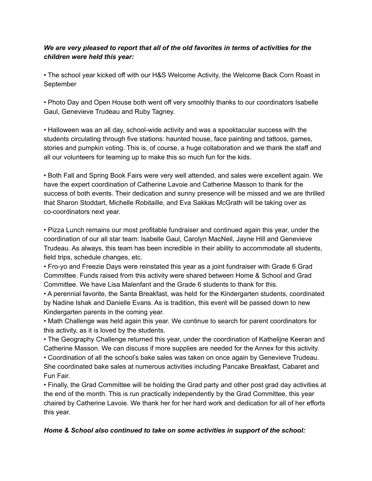#### *We are very pleased to report that all of the old favorites in terms of activities for the children were held this year:*

• The school year kicked off with our H&S Welcome Activity, the Welcome Back Corn Roast in September

• Photo Day and Open House both went off very smoothly thanks to our coordinators Isabelle Gaul, Genevieve Trudeau and Ruby Tagney.

• Halloween was an all day, school-wide activity and was a spooktacular success with the students circulating through five stations: haunted house, face painting and tattoos, games, stories and pumpkin voting. This is, of course, a huge collaboration and we thank the staff and all our volunteers for teaming up to make this so much fun for the kids.

• Both Fall and Spring Book Fairs were very well attended, and sales were excellent again. We have the expert coordination of Catherine Lavoie and Catherine Masson to thank for the success of both events. Their dedication and sunny presence will be missed and we are thrilled that Sharon Stoddart, Michelle Robitaille, and Eva Sakkas McGrath will be taking over as co-coordinators next year.

• Pizza Lunch remains our most profitable fundraiser and continued again this year, under the coordination of our all star team: Isabelle Gaul, Carolyn MacNeil, Jayne Hill and Genevieve Trudeau. As always, this team has been incredible in their ability to accommodate all students, field trips, schedule changes, etc.

• Fro-yo and Freezie Days were reinstated this year as a joint fundraiser with Grade 6 Grad Committee. Funds raised from this activity were shared between Home & School and Grad Committee. We have Lisa Malenfant and the Grade 6 students to thank for this.

• A perennial favorite, the Santa Breakfast, was held for the Kindergarten students, coordinated by Nadine Ishak and Danielle Evans. As is tradition, this event will be passed down to new Kindergarten parents in the coming year.

• Math Challenge was held again this year. We continue to search for parent coordinators for this activity, as it is loved by the students.

• The Geography Challenge returned this year, under the coordination of Kathelijne Keeran and Catherine Masson. We can discuss if more supplies are needed for the Annex for this activity.

• Coordination of all the school's bake sales was taken on once again by Genevieve Trudeau. She coordinated bake sales at numerous activities including Pancake Breakfast, Cabaret and Fun Fair.

• Finally, the Grad Committee will be holding the Grad party and other post grad day activities at the end of the month. This is run practically independently by the Grad Committee, this year chaired by Catherine Lavoie. We thank her for her hard work and dedication for all of her efforts this year.

#### *Home & School also continued to take on some activities in support of the school:*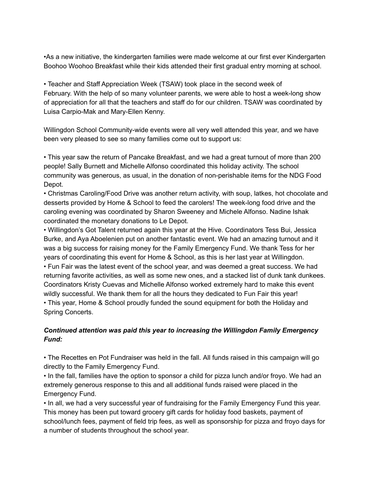•As a new initiative, the kindergarten families were made welcome at our first ever Kindergarten Boohoo Woohoo Breakfast while their kids attended their first gradual entry morning at school.

• Teacher and Staff Appreciation Week (TSAW) took place in the second week of February. With the help of so many volunteer parents, we were able to host a week-long show of appreciation for all that the teachers and staff do for our children. TSAW was coordinated by Luisa Carpio-Mak and Mary-Ellen Kenny.

Willingdon School Community-wide events were all very well attended this year, and we have been very pleased to see so many families come out to support us:

• This year saw the return of Pancake Breakfast, and we had a great turnout of more than 200 people! Sally Burnett and Michelle Alfonso coordinated this holiday activity. The school community was generous, as usual, in the donation of non-perishable items for the NDG Food Depot.

• Christmas Caroling/Food Drive was another return activity, with soup, latkes, hot chocolate and desserts provided by Home & School to feed the carolers! The week-long food drive and the caroling evening was coordinated by Sharon Sweeney and Michele Alfonso. Nadine Ishak coordinated the monetary donations to Le Depot.

• Willingdon's Got Talent returned again this year at the Hive. Coordinators Tess Bui, Jessica Burke, and Aya Aboelenien put on another fantastic event. We had an amazing turnout and it was a big success for raising money for the Family Emergency Fund. We thank Tess for her years of coordinating this event for Home & School, as this is her last year at Willingdon. • Fun Fair was the latest event of the school year, and was deemed a great success. We had returning favorite activities, as well as some new ones, and a stacked list of dunk tank dunkees. Coordinators Kristy Cuevas and Michelle Alfonso worked extremely hard to make this event

wildly successful. We thank them for all the hours they dedicated to Fun Fair this year! • This year, Home & School proudly funded the sound equipment for both the Holiday and Spring Concerts.

#### *Continued attention was paid this year to increasing the Willingdon Family Emergency Fund:*

• The Recettes en Pot Fundraiser was held in the fall. All funds raised in this campaign will go directly to the Family Emergency Fund.

• In the fall, families have the option to sponsor a child for pizza lunch and/or froyo. We had an extremely generous response to this and all additional funds raised were placed in the Emergency Fund.

• In all, we had a very successful year of fundraising for the Family Emergency Fund this year. This money has been put toward grocery gift cards for holiday food baskets, payment of school/lunch fees, payment of field trip fees, as well as sponsorship for pizza and froyo days for a number of students throughout the school year.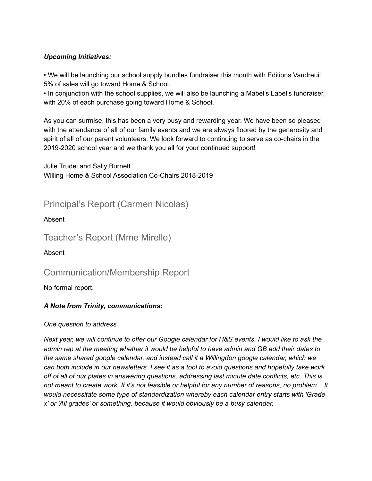#### *Upcoming Initiatives:*

• We will be launching our school supply bundles fundraiser this month with Editions Vaudreuil 5% of sales will go toward Home & School.

• In conjunction with the school supplies, we will also be launching a Mabel's Label's fundraiser, with 20% of each purchase going toward Home & School.

As you can surmise, this has been a very busy and rewarding year. We have been so pleased with the attendance of all of our family events and we are always floored by the generosity and spirit of all of our parent volunteers. We look forward to continuing to serve as co-chairs in the 2019-2020 school year and we thank you all for your continued support!

Julie Trudel and Sally Burnett Willing Home & School Association Co-Chairs 2018-2019

Principal's Report (Carmen Nicolas)

Absent

Teacher's Report (Mme Mirelle)

Absent

Communication/Membership Report

No formal report.

### *A Note from Trinity, communications:*

#### *One question to address*

Next year, we will continue to offer our Google calendar for H&S events. I would like to ask the admin rep at the meeting whether it would be helpful to have admin and GB add their dates to *the same shared google calendar, and instead call it a Willingdon google calendar, which we* can both include in our newsletters. I see it as a tool to avoid questions and hopefully take work *off of all of our plates in answering questions, addressing last minute date conflicts, etc. This is* not meant to create work. If it's not feasible or helpful for any number of reasons, no problem. It *would necessitate some type of standardization whereby each calendar entry starts with 'Grade x' or 'All grades' or something, because it would obviously be a busy calendar.*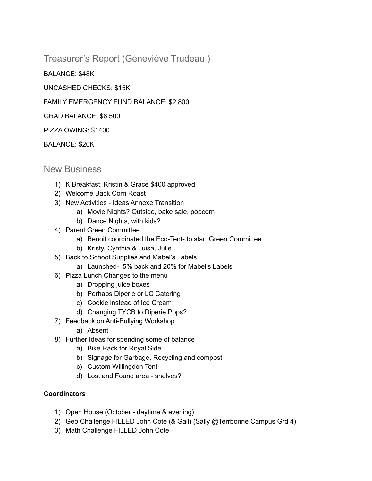Treasurer's Report (Geneviève Trudeau )

BALANCE: \$48K

UNCASHED CHECKS: \$15K

FAMILY EMERGENCY FUND BALANCE: \$2,800

GRAD BALANCE: \$6,500

PIZZA OWING: \$1400

BALANCE: \$20K

### New Business

- 1) K Breakfast: Kristin & Grace \$400 approved
- 2) Welcome Back Corn Roast
- 3) New Activities Ideas Annexe Transition
	- a) Movie Nights? Outside, bake sale, popcorn
	- b) Dance Nights, with kids?
- 4) Parent Green Committee
	- a) Benoit coordinated the Eco-Tent- to start Green Committee
	- b) Kristy, Cynthia & Luisa, Julie
- 5) Back to School Supplies and Mabel's Labels
	- a) Launched- 5% back and 20% for Mabel's Labels
- 6) Pizza Lunch Changes to the menu
	- a) Dropping juice boxes
	- b) Perhaps Diperie or LC Catering
	- c) Cookie instead of Ice Cream
	- d) Changing TYCB to Diperie Pops?
- 7) Feedback on Anti-Bullying Workshop
	- a) Absent
- 8) Further Ideas for spending some of balance
	- a) Bike Rack for Royal Side
	- b) Signage for Garbage, Recycling and compost
	- c) Custom Willingdon Tent
	- d) Lost and Found area shelves?

#### **Coordinators**

- 1) Open House (October daytime & evening)
- 2) Geo Challenge FILLED John Cote (& Gail) (Sally @Terrbonne Campus Grd 4)
- 3) Math Challenge FILLED John Cote